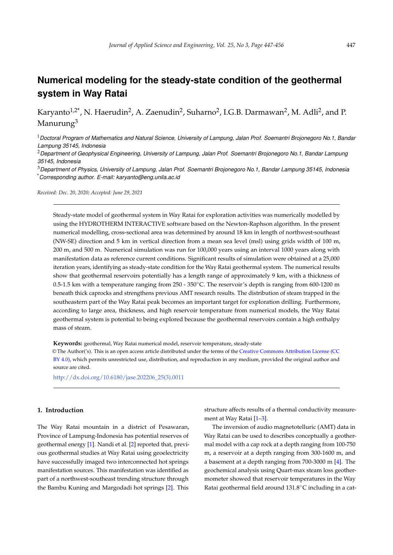# **Numerical modeling for the steady-state condition of the geothermal system in Way Ratai**

Karyanto $^{1,2^*}$ , N. Haerudin $^2$ , A. Zaenudin $^2$ , Suharno $^2$ , I.G.B. Darmawan $^2$ , M. Adli $^2$ , and P. Manurung<sup>3</sup>

<sup>1</sup>*Doctoral Program of Mathematics and Natural Science, University of Lampung, Jalan Prof. Soemantri Brojonegoro No.1, Bandar Lampung 35145, Indonesia*

<sup>2</sup>*Department of Geophysical Engineering, University of Lampung, Jalan Prof. Soemantri Brojonegoro No.1, Bandar Lampung 35145, Indonesia*

<sup>3</sup>*Department of Physics, University of Lampung, Jalan Prof. Soemantri Brojonegoro No.1, Bandar Lampung 35145, Indonesia* \**Corresponding author. E-mail: karyanto@eng.unila.ac.id*

*Received: Dec. 20, 2020; Accepted: June 29, 2021*

Steady-state model of geothermal system in Way Ratai for exploration activities was numerically modelled by using the HYDROTHERM INTERACTIVE software based on the Newton-Raphson algorithm. In the present numerical modelling, cross-sectional area was determined by around 18 km in length of northwest-southeast (NW-SE) direction and 5 km in vertical direction from a mean sea level (msl) using grids width of 100 m, 200 m, and 500 m. Numerical simulation was run for 100,000 years using an interval 1000 years along with manifestation data as reference current conditions. Significant results of simulation were obtained at a 25,000 iteration years, identifying as steady-state condition for the Way Ratai geothermal system. The numerical results show that geothermal reservoirs potentially has a length range of approximately 9 km, with a thickness of 0.5-1.5 km with a temperature ranging from 250 - 350◦C. The reservoir's depth is ranging from 600-1200 m beneath thick caprocks and strengthens previous AMT research results. The distribution of steam trapped in the southeastern part of the Way Ratai peak becomes an important target for exploration drilling. Furthermore, according to large area, thickness, and high reservoir temperature from numerical models, the Way Ratai geothermal system is potential to being explored because the geothermal reservoirs contain a high enthalpy mass of steam.

**Keywords:** geothermal, Way Ratai numerical model, reservoir temperature, steady-state

© The Author('s). This is an open access article distributed under the terms of the [Creative Commons Attribution License \(CC](https://creativecommons.org/licenses/by/4.0/) [BY 4.0\),](https://creativecommons.org/licenses/by/4.0/) which permits unrestricted use, distribution, and reproduction in any medium, provided the original author and source are cited.

[http://dx.doi.org/10.6180/jase.202206\\_25\(3\).0011](http://dx.doi.org/10.6180/jase.202206_25(3).0011)

#### **1. Introduction**

The Way Ratai mountain in a district of Pesawaran, Province of Lampung-Indonesia has potential reserves of geothermal energy [\[1\]](#page-8-0). Nandi et al. [\[2\]](#page-8-1) reported that, previous geothermal studies at Way Ratai using geoelectricity have successfully imaged two interconnected hot springs manifestation sources. This manifestation was identified as part of a northwest-southeast trending structure through the Bambu Kuning and Margodadi hot springs [\[2\]](#page-8-1). This

structure affects results of a thermal conductivity measurement at Way Ratai [\[1](#page-8-0)[–3\]](#page-8-2).

The inversion of audio magnetotelluric (AMT) data in Way Ratai can be used to describes conceptually a geothermal model with a cap rock at a depth ranging from 100-750 m, a reservoir at a depth ranging from 300-1600 m, and a basement at a depth ranging from 700-3000 m [\[4\]](#page-8-3). The geochemical analysis using Quart-max steam loss geothermometer showed that reservoir temperatures in the Way Ratai geothermal field around 131.8◦C including in a cat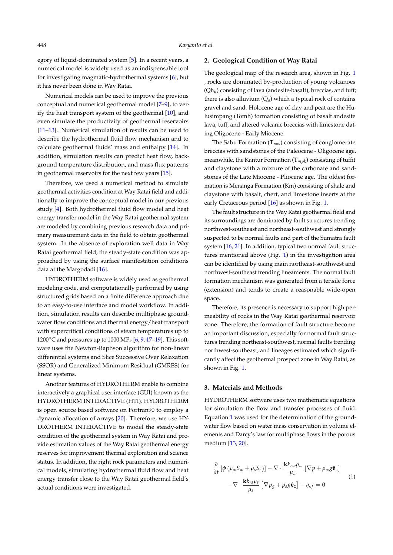egory of liquid-dominated system [\[5\]](#page-8-4). In a recent years, a numerical model is widely used as an indispensable tool for investigating magmatic-hydrothermal systems [\[6\]](#page-8-5), but it has never been done in Way Ratai.

Numerical models can be used to improve the previous conceptual and numerical geothermal model [\[7](#page-8-6)[–9\]](#page-8-7), to verify the heat transport system of the geothermal [\[10\]](#page-8-8), and even simulate the productivity of geothermal reservoirs [\[11](#page-8-9)[–13\]](#page-9-0). Numerical simulation of results can be used to describe the hydrothermal fluid flow mechanism and to calculate geothermal fluids' mass and enthalpy [\[14\]](#page-9-1). In addition, simulation results can predict heat flow, background temperature distribution, and mass flux patterns in geothermal reservoirs for the next few years [\[15\]](#page-9-2).

Therefore, we used a numerical method to simulate geothermal activities condition at Way Ratai field and additionally to improve the conceptual model in our previous study [\[4\]](#page-8-3). Both hydrothermal fluid flow model and heat energy transfer model in the Way Ratai geothermal system are modeled by combining previous research data and primary measurement data in the field to obtain geothermal system. In the absence of exploration well data in Way Ratai geothermal field, the steady-state condition was approached by using the surface manifestation conditions data at the Margodadi [\[16\]](#page-9-3).

HYDROTHERM software is widely used as geothermal modeling code, and computationally performed by using structured grids based on a finite difference approach due to an easy-to-use interface and model workflow. In addition, simulation results can describe multiphase groundwater flow conditions and thermal energy/heat transport with supercritical conditions of steam temperatures up to 1200◦C and pressures up to 1000 MP*<sup>a</sup>* [\[6,](#page-8-5) [9,](#page-8-7) [17](#page-9-4)[–19\]](#page-9-5). This software uses the Newton-Raphson algorithm for non-linear differential systems and Slice Successive Over Relaxation (SSOR) and Generalized Minimum Residual (GMRES) for linear systems.

Another features of HYDROTHERM enable to combine interactively a graphical user interface (GUI) known as the HYDROTHERM INTERACTIVE (HTI). HYDROTHERM is open source based software on Fortran90 to employ a dynamic allocation of arrays [\[20\]](#page-9-6). Therefore, we use HY-DROTHERM INTERACTIVE to model the steady-state condition of the geothermal system in Way Ratai and provide estimation values of the Way Ratai geothermal energy reserves for improvement thermal exploration and science status. In addition, the right rock parameters and numerical models, simulating hydrothermal fluid flow and heat energy transfer close to the Way Ratai geothermal field's actual conditions were investigated.

# **2. Geological Condition of Way Ratai**

The geological map of the research area, shown in Fig. [1](#page-2-0) , rocks are dominated by-production of young volcanoes (Qh*y*) consisting of lava (andesite-basalt), breccias, and tuff; there is also alluvium  $(Q_a)$  which a typical rock of contains gravel and sand. Holocene age of clay and peat are the Hulusimpang (Tomh) formation consisting of basalt andesite lava, tuff, and altered volcanic breccias with limestone dating Oligocene - Early Miocene.

The Sabu Formation (T*pos*) consisting of conglomerate breccias with sandstones of the Paleocene - Oligocene age, meanwhile, the Kantur Formation (T*mpk*) consisting of tuffit and claystone with a mixture of the carbonate and sandstones of the Late Miocene - Pliocene age. The oldest formation is Menanga Formation (Km) consisting of shale and claystone with basalt, chert, and limestone inserts at the early Cretaceous period [\[16\]](#page-9-3) as shown in Fig. [1.](#page-2-0)

The fault structure in the Way Ratai geothermal field and its surroundings are dominated by fault structures trending northwest-southeast and northeast-southwest and strongly suspected to be normal faults and part of the Sumatra fault system [\[16,](#page-9-3) [21\]](#page-9-7). In addition, typical two normal fault structures mentioned above (Fig. [1\)](#page-2-0) in the investigation area can be identified by using main northeast-southwest and northwest-southeast trending lineaments. The normal fault formation mechanism was generated from a tensile force (extension) and tends to create a reasonable wide-open space.

Therefore, its presence is necessary to support high permeability of rocks in the Way Ratai geothermal reservoir zone. Therefore, the formation of fault structure become an important discussion, especially for normal fault structures trending northeast-southwest, normal faults trending northwest-southeast, and lineages estimated which significantly affect the geothermal prospect zone in Way Ratai, as shown in Fig. [1.](#page-2-0)

#### **3. Materials and Methods**

HYDROTHERM software uses two mathematic equations for simulation the flow and transfer processes of fluid. Equation [1](#page-1-0) was used for the determination of the groundwater flow based on water mass conservation in volume elements and Darcy's law for multiphase flows in the porous medium [\[13,](#page-9-0) [20\]](#page-9-6).

<span id="page-1-0"></span>
$$
\frac{\partial}{\partial t} \left[ \phi \left( \rho_w S_w + \rho_s S_s \right) \right] - \nabla \cdot \frac{\mathbf{k} k_{rw} \rho_w}{\mu_w} \left[ \nabla p + \rho_w g \hat{\mathbf{e}}_z \right] \n- \nabla \cdot \frac{\mathbf{k} k_{rs} \rho_s}{\mu_s} \left[ \nabla p_g + \rho_s g \hat{\mathbf{e}}_z \right] - q_{sf} = 0
$$
\n(1)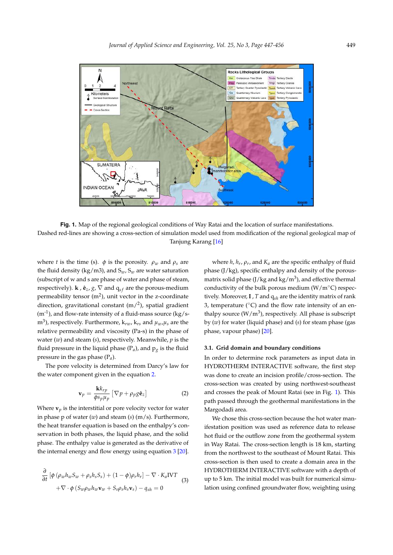<span id="page-2-0"></span>

**Fig. 1.** Map of the regional geological conditions of Way Ratai and the location of surface manifestations. Dashed red-lines are showing a cross-section of simulation model used from modification of the regional geological map of Tanjung Karang [\[16\]](#page-9-3)

where *t* is the time (s).  $\phi$  is the porosity.  $\rho_w$  and  $\rho_s$  are the fluid density (kg/m3), and  $S_w$ ,  $S_w$  are water saturation (subscript of w and s are phase of water and phase of steam, respectively). **k** ,  $\hat{\mathbf{e}}_z$ ,  $g$ ,  $\nabla$  and  $q_{sf}$  are the porous-medium permeability tensor (m<sup>2</sup>), unit vector in the z-coordinate direction, gravitational constant (m/<sup>2</sup>), spatial gradient  $(m<sup>-1</sup>)$ , and flow-rate intensity of a fluid-mass source (kg/sm<sup>3</sup> ), respectively. Furthermore, k*rw*, k*rs* and *µw*,*µs* are the relative permeability and viscosity (Pa-s) in the phase of water (*w*) and steam (*s*), respectively. Meanwhile, *p* is the fluid pressure in the liquid phase  $(P_a)$ , and  $p_g$  is the fluid pressure in the gas phase (P*a*).

The pore velocity is determined from Darcy's law for the water component given in the equation [2.](#page-2-1)

<span id="page-2-1"></span>
$$
\mathbf{v}_p = \frac{\mathbf{k}k_{rp}}{\phi s_p \mu_p} \left[ \nabla p + \rho_p g \hat{\mathbf{e}}_z \right]
$$
 (2)

Where  $\mathbf{v}_p$  is the interstitial or pore velocity vector for water in phase p of water (*w*) and steam (*s*) (m/s). Furthermore, the heat transfer equation is based on the enthalpy's conservation in both phases, the liquid phase, and the solid phase. The enthalpy value is generated as the derivative of the internal energy and flow energy using equation [3](#page-2-2) [\[20\]](#page-9-6).

<span id="page-2-2"></span>
$$
\frac{\partial}{\partial t} \left[ \phi \left( \rho_w h_w S_w + \rho_s h_s S_s \right) + (1 - \phi) \rho_r h_r \right] - \nabla \cdot K_a \text{IVT} \n+ \nabla \cdot \phi \left( S_w \rho_w h_w \mathbf{v}_w + S_s \rho_s h_s \mathbf{v}_s \right) - q_{sh} = 0
$$
\n(3)

where *h*, *hr*, *ρr*, and *Ka* are the specific enthalpy of fluid phase (J/kg), specific enthalpy and density of the porousmatrix solid phase (J/kg and kg/m<sup>3</sup>), and effective thermal conductivity of the bulk porous medium ( $W/m°C$ ) respectively. Moreover, **I** , *T* and q*sh* are the identity matrix of rank 3, temperature ( $°C$ ) and the flow rate intensity of an enthalpy source  $(W/m^3)$ , respectively. All phase is subscript by (*w*) for water (liquid phase) and (*s*) for steam phase (gas phase, vapour phase) [\[20\]](#page-9-6).

#### **3.1. Grid domain and boundary conditions**

In order to determine rock parameters as input data in HYDROTHERM INTERACTIVE software, the first step was done to create an incision profile/cross-section. The cross-section was created by using northwest-southeast and crosses the peak of Mount Ratai (see in Fig. [1\)](#page-2-0). This path passed through the geothermal manifestations in the Margodadi area.

We chose this cross-section because the hot water manifestation position was used as reference data to release hot fluid or the outflow zone from the geothermal system in Way Ratai. The cross-section length is 18 km, starting from the northwest to the southeast of Mount Ratai. This cross-section is then used to create a domain area in the HYDROTHERM INTERACTIVE software with a depth of up to 5 km. The initial model was built for numerical simulation using confined groundwater flow, weighting using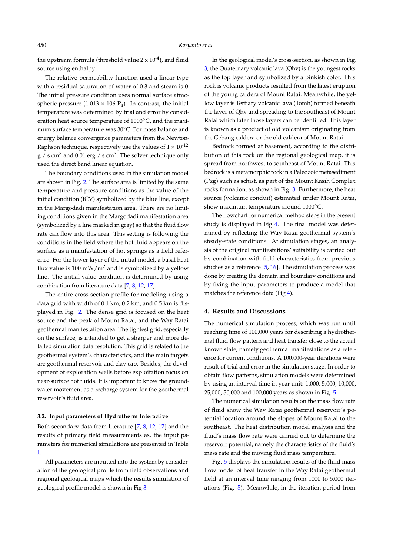the upstream formula (threshold value  $2 \times 10^{-4}$ ), and fluid source using enthalpy.

The relative permeability function used a linear type with a residual saturation of water of 0.3 and steam is 0. The initial pressure condition uses normal surface atmospheric pressure  $(1.013 \times 106 \text{ P}_q)$ . In contrast, the initial temperature was determined by trial and error by consideration heat source temperature of 1000◦C, and the maximum surface temperature was 30◦C. For mass balance and energy balance convergence parameters from the Newton-Raphson technique, respectively use the values of  $1 \times 10^{-12}$  $\rm g$  / s.cm $^3$  and 0.01 erg / s.cm $^3$ . The solver technique only used the direct band linear equation.

The boundary conditions used in the simulation model are shown in Fig. [2.](#page-4-0) The surface area is limited by the same temperature and pressure conditions as the value of the initial condition (ICV) symbolized by the blue line, except in the Margodadi manifestation area. There are no limiting conditions given in the Margodadi manifestation area (symbolized by a line marked in gray) so that the fluid flow rate can flow into this area. This setting is following the conditions in the field where the hot fluid appears on the surface as a manifestation of hot springs as a field reference. For the lower layer of the initial model, a basal heat flux value is 100 mW/m<sup>2</sup> and is symbolized by a yellow line. The initial value condition is determined by using combination from literature data [\[7,](#page-8-6) [8,](#page-8-10) [12,](#page-9-8) [17\]](#page-9-4).

The entire cross-section profile for modeling using a data grid with width of 0.1 km, 0.2 km, and 0.5 km is displayed in Fig. [2.](#page-4-0) The dense grid is focused on the heat source and the peak of Mount Ratai, and the Way Ratai geothermal manifestation area. The tightest grid, especially on the surface, is intended to get a sharper and more detailed simulation data resolution. This grid is related to the geothermal system's characteristics, and the main targets are geothermal reservoir and clay cap. Besides, the development of exploration wells before exploitation focus on near-surface hot fluids. It is important to know the groundwater movement as a recharge system for the geothermal reservoir's fluid area.

# **3.2. Input parameters of Hydrotherm Interactive**

Both secondary data from literature [\[7,](#page-8-6) [8,](#page-8-10) [12,](#page-9-8) [17\]](#page-9-4) and the results of primary field measurements as, the input parameters for numerical simulations are presented in Table [1.](#page-4-1)

All parameters are inputted into the system by consideration of the geological profile from field observations and regional geological maps which the results simulation of geological profile model is shown in Fig [3.](#page-4-2)

In the geological model's cross-section, as shown in Fig. [3,](#page-4-2) the Quaternary volcanic lava (Qhv) is the youngest rocks as the top layer and symbolized by a pinkish color. This rock is volcanic products resulted from the latest eruption of the young caldera of Mount Ratai. Meanwhile, the yellow layer is Tertiary volcanic lava (Tomh) formed beneath the layer of Qhv and spreading to the southeast of Mount Ratai which later those layers can be identified. This layer is known as a product of old volcanism originating from the Gebang caldera or the old caldera of Mount Ratai.

Bedrock formed at basement, according to the distribution of this rock on the regional geological map, it is spread from northwest to southeast of Mount Ratai. This bedrock is a metamorphic rock in a Paleozoic metasediment (Pzg) such as schist, as part of the Mount Kasih Complex rocks formation, as shown in Fig. [3.](#page-4-2) Furthermore, the heat source (volcanic conduit) estimated under Mount Ratai, show maximum temperature around 1000°C.

The flowchart for numerical method steps in the present study is displayed in Fig [4.](#page-5-0) The final model was determined by reflecting the Way Ratai geothermal system's steady-state conditions. At simulation stages, an analysis of the original manifestations' suitability is carried out by combination with field characteristics from previous studies as a reference [\[5,](#page-8-4) [16\]](#page-9-3). The simulation process was done by creating the domain and boundary conditions and by fixing the input parameters to produce a model that matches the reference data (Fig [4\)](#page-5-0).

### **4. Results and Discussions**

The numerical simulation process, which was run until reaching time of 100,000 years for describing a hydrothermal fluid flow pattern and heat transfer close to the actual known state, namely geothermal manifestations as a reference for current conditions. A 100,000-year iterations were result of trial and error in the simulation stage. In order to obtain flow patterns, simulation models were determined by using an interval time in year unit: 1,000, 5,000, 10,000, 25,000, 50,000 and 100,000 years as shown in Fig. [5.](#page-6-0)

The numerical simulation results on the mass flow rate of fluid show the Way Ratai geothermal reservoir's potential location around the slopes of Mount Ratai to the southeast. The heat distribution model analysis and the fluid's mass flow rate were carried out to determine the reservoir potential, namely the characteristics of the fluid's mass rate and the moving fluid mass temperature.

Fig. [5](#page-6-0) displays the simulation results of the fluid mass flow model of heat transfer in the Way Ratai geothermal field at an interval time ranging from 1000 to 5,000 iterations (Fig. [5\)](#page-6-0). Meanwhile, in the iteration period from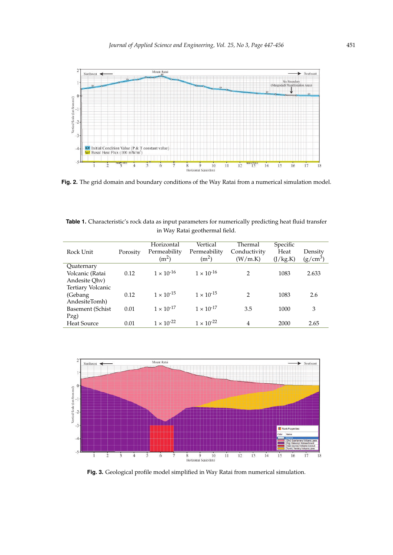<span id="page-4-0"></span>

**Fig. 2.** The grid domain and boundary conditions of the Way Ratai from a numerical simulation model.

<span id="page-4-1"></span>**Table 1.** Characteristic's rock data as input parameters for numerically predicting heat fluid transfer in Way Ratai geothermal field.

| Rock Unit                                      | Porosity | Horizontal<br>Permeability<br>(m <sup>2</sup> ) | Vertical<br>Permeability<br>(m <sup>2</sup> ) | Thermal<br>Conductivity<br>(W/m.K) | Specific<br>Heat<br>(J/kg.K) | Density<br>$(g/cm^3)$ |
|------------------------------------------------|----------|-------------------------------------------------|-----------------------------------------------|------------------------------------|------------------------------|-----------------------|
| Quaternary<br>Volcanic (Ratai<br>Andesite Qhv) | 0.12     | $1 \times 10^{-16}$                             | $1 \times 10^{-16}$                           | $\mathcal{L}$                      | 1083                         | 2.633                 |
| Tertiary Volcanic<br>(Gebang)<br>AndesiteTomh) | 0.12     | $1 \times 10^{-15}$                             | $1 \times 10^{-15}$                           | $\mathcal{L}$                      | 1083                         | 2.6                   |
| Basement (Schist                               | 0.01     | $1 \times 10^{-17}$                             | $1 \times 10^{-17}$                           | 3.5                                | 1000                         | 3                     |
| Pzg)<br><b>Heat Source</b>                     | 0.01     | $1 \times 10^{-22}$                             | $1 \times 10^{-22}$                           | 4                                  | 2000                         | 2.65                  |

<span id="page-4-2"></span>

**Fig. 3.** Geological profile model simplified in Way Ratai from numerical simulation.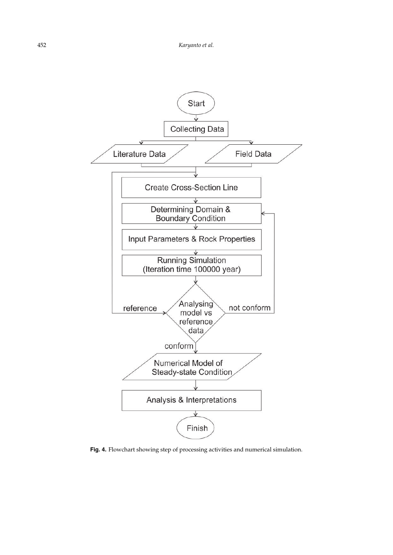<span id="page-5-0"></span>

**Fig. 4.** Flowchart showing step of processing activities and numerical simulation.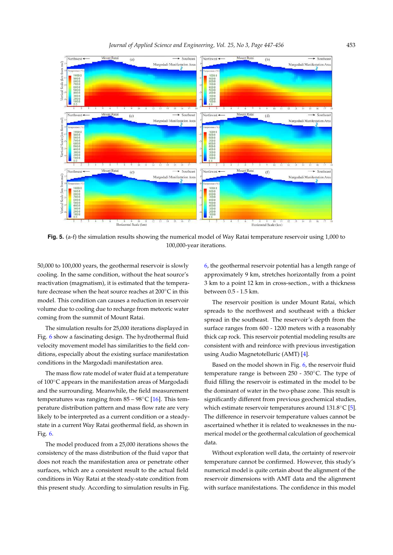<span id="page-6-0"></span>

**Fig. 5.** (a-f) the simulation results showing the numerical model of Way Ratai temperature reservoir using 1,000 to 100,000-year iterations.

50,000 to 100,000 years, the geothermal reservoir is slowly cooling. In the same condition, without the heat source's reactivation (magmatism), it is estimated that the temperature decrease when the heat source reaches at 200◦C in this model. This condition can causes a reduction in reservoir volume due to cooling due to recharge from meteoric water coming from the summit of Mount Ratai.

The simulation results for 25,000 iterations displayed in Fig. [6](#page-7-0) show a fascinating design. The hydrothermal fluid velocity movement model has similarities to the field conditions, especially about the existing surface manifestation conditions in the Margodadi manifestation area.

The mass flow rate model of water fluid at a temperature of 100◦C appears in the manifestation areas of Margodadi and the surrounding. Meanwhile, the field measurement temperatures was ranging from  $85 - 98^{\circ}$ C [\[16\]](#page-9-3). This temperature distribution pattern and mass flow rate are very likely to be interpreted as a current condition or a steadystate in a current Way Ratai geothermal field, as shown in Fig. [6.](#page-7-0)

The model produced from a 25,000 iterations shows the consistency of the mass distribution of the fluid vapor that does not reach the manifestation area or penetrate other surfaces, which are a consistent result to the actual field conditions in Way Ratai at the steady-state condition from this present study. According to simulation results in Fig.

[6,](#page-7-0) the geothermal reservoir potential has a length range of approximately 9 km, stretches horizontally from a point 3 km to a point 12 km in cross-section., with a thickness between 0.5 - 1.5 km.

The reservoir position is under Mount Ratai, which spreads to the northwest and southeast with a thicker spread in the southeast. The reservoir's depth from the surface ranges from 600 - 1200 meters with a reasonably thick cap rock. This reservoir potential modeling results are consistent with and reinforce with previous investigation using Audio Magnetotelluric (AMT) [\[4\]](#page-8-3).

Based on the model shown in Fig. [6,](#page-7-0) the reservoir fluid temperature range is between 250 - 350◦C. The type of fluid filling the reservoir is estimated in the model to be the dominant of water in the two-phase zone. This result is significantly different from previous geochemical studies, which estimate reservoir temperatures around 131.8<sup>°</sup>C [\[5\]](#page-8-4). The difference in reservoir temperature values cannot be ascertained whether it is related to weaknesses in the numerical model or the geothermal calculation of geochemical data.

Without exploration well data, the certainty of reservoir temperature cannot be confirmed. However, this study's numerical model is quite certain about the alignment of the reservoir dimensions with AMT data and the alignment with surface manifestations. The confidence in this model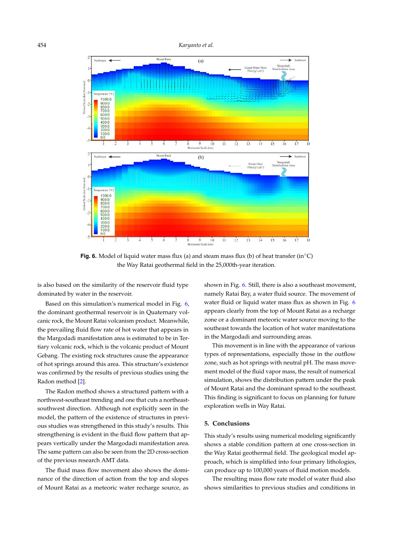<span id="page-7-0"></span>454 *Karyanto et al.*



**Fig. 6.** Model of liquid water mass flux (a) and steam mass flux (b) of heat transfer (in<sup>°</sup>C) the Way Ratai geothermal field in the 25,000th-year iteration.

is also based on the similarity of the reservoir fluid type dominated by water in the reservoir.

Based on this simulation's numerical model in Fig. [6,](#page-7-0) the dominant geothermal reservoir is in Quaternary volcanic rock, the Mount Ratai volcanism product. Meanwhile, the prevailing fluid flow rate of hot water that appears in the Margodadi manifestation area is estimated to be in Tertiary volcanic rock, which is the volcanic product of Mount Gebang. The existing rock structures cause the appearance of hot springs around this area. This structure's existence was confirmed by the results of previous studies using the Radon method [\[2\]](#page-8-1).

The Radon method shows a structured pattern with a northwest-southeast trending and one that cuts a northeastsouthwest direction. Although not explicitly seen in the model, the pattern of the existence of structures in previous studies was strengthened in this study's results. This strengthening is evident in the fluid flow pattern that appears vertically under the Margodadi manifestation area. The same pattern can also be seen from the 2D cross-section of the previous research AMT data.

The fluid mass flow movement also shows the dominance of the direction of action from the top and slopes of Mount Ratai as a meteoric water recharge source, as

shown in Fig. [6.](#page-7-0) Still, there is also a southeast movement, namely Ratai Bay, a water fluid source. The movement of water fluid or liquid water mass flux as shown in Fig. [6](#page-7-0) appears clearly from the top of Mount Ratai as a recharge zone or a dominant meteoric water source moving to the southeast towards the location of hot water manifestations in the Margodadi and surrounding areas.

This movement is in line with the appearance of various types of representations, especially those in the outflow zone, such as hot springs with neutral pH. The mass movement model of the fluid vapor mass, the result of numerical simulation, shows the distribution pattern under the peak of Mount Ratai and the dominant spread to the southeast. This finding is significant to focus on planning for future exploration wells in Way Ratai.

# **5. Conclusions**

This study's results using numerical modeling significantly shows a stable condition pattern at one cross-section in the Way Ratai geothermal field. The geological model approach, which is simplified into four primary lithologies, can produce up to 100,000 years of fluid motion models.

The resulting mass flow rate model of water fluid also shows similarities to previous studies and conditions in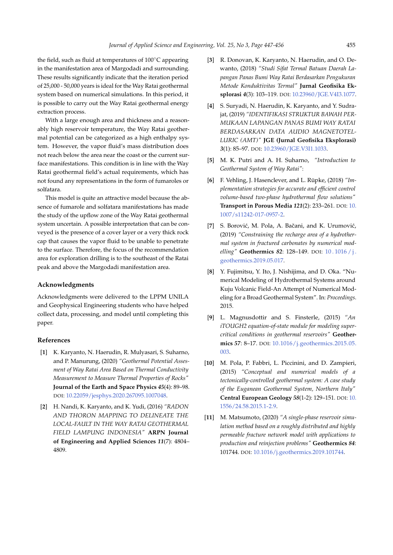the field, such as fluid at temperatures of 100◦C appearing in the manifestation area of Margodadi and surrounding. These results significantly indicate that the iteration period of 25,000 - 50,000 years is ideal for the Way Ratai geothermal system based on numerical simulations. In this period, it is possible to carry out the Way Ratai geothermal energy extraction process.

With a large enough area and thickness and a reasonably high reservoir temperature, the Way Ratai geothermal potential can be categorized as a high enthalpy system. However, the vapor fluid's mass distribution does not reach below the area near the coast or the current surface manifestations. This condition is in line with the Way Ratai geothermal field's actual requirements, which has not found any representations in the form of fumaroles or solfatara.

This model is quite an attractive model because the absence of fumarole and solfatara manifestations has made the study of the upflow zone of the Way Ratai geothermal system uncertain. A possible interpretation that can be conveyed is the presence of a cover layer or a very thick rock cap that causes the vapor fluid to be unable to penetrate to the surface. Therefore, the focus of the recommendation area for exploration drilling is to the southeast of the Ratai peak and above the Margodadi manifestation area.

#### **Acknowledgments**

Acknowledgments were delivered to the LPPM UNILA and Geophysical Engineering students who have helped collect data, processing, and model until completing this paper.

# **References**

- <span id="page-8-0"></span>[**1**] K. Karyanto, N. Haerudin, R. Mulyasari, S. Suharno, and P. Manurung, (2020) *"Geothermal Potential Assesment of Way Ratai Area Based on Thermal Conductivity Measurement to Measure Thermal Properties of Rocks"* **Journal of the Earth and Space Physics** *45*(4): 89–98. DOI: [10.22059/jesphys.2020.267095.1007048.](https://doi.org/10.22059/jesphys.2020.267095.1007048)
- <span id="page-8-1"></span>[**2**] H. Nandi, K. Karyanto, and K. Yudi, (2016) *"RADON AND THORON MAPPING TO DELINEATE THE LOCAL-FAULT IN THE WAY RATAI GEOTHERMAL FIELD LAMPUNG INDONESIA"* **ARPN Journal of Engineering and Applied Sciences** *11*(7): 4804– 4809.
- <span id="page-8-2"></span>[**3**] R. Donovan, K. Karyanto, N. Haerudin, and O. Dewanto, (2018) *"Studi Sifat Termal Batuan Daerah Lapangan Panas Bumi Way Ratai Berdasarkan Pengukuran Metode Konduktivitas Termal"* **Jurnal Geofisika Eksplorasi** *4*(3): 103–119. DOI: [10.23960/JGE.V4I3.1077.](https://doi.org/10.23960/JGE.V4I3.1077)
- <span id="page-8-3"></span>[**4**] S. Suryadi, N. Haerudin, K. Karyanto, and Y. Sudrajat, (2019) *"IDENTIFIKASI STRUKTUR BAWAH PER-MUKAAN LAPANGAN PANAS BUMI WAY RATAI BERDASARKAN DATA AUDIO MAGNETOTEL-LURIC (AMT)"* **JGE (Jurnal Geofisika Eksplorasi)** *3*(1): 85–97. DOI: [10.23960/JGE.V3I1.1033.](https://doi.org/10.23960/JGE.V3I1.1033)
- <span id="page-8-4"></span>[**5**] M. K. Putri and A. H. Suharno, *"Introduction to Geothermal System of Way Ratai"*:
- <span id="page-8-5"></span>[**6**] F. Vehling, J. Hasenclever, and L. Rüpke, (2018) *"Implementation strategies for accurate and efficient control volume-based two-phase hydrothermal flow solutions"* **Transport in Porous Media** *121*(2): 233–261. DOI: [10.](https://doi.org/10.1007/s11242-017-0957-2) [1007/s11242-017-0957-2.](https://doi.org/10.1007/s11242-017-0957-2)
- <span id="page-8-6"></span>[7] S. Borović, M. Pola, A. Bačani, and K. Urumović, (2019) *"Constraining the recharge area of a hydrothermal system in fractured carbonates by numerical modelling"* **Geothermics** *82*: 128–149. DOI: [10 . 1016 / j .](https://doi.org/10.1016/j.geothermics.2019.05.017) [geothermics.2019.05.017.](https://doi.org/10.1016/j.geothermics.2019.05.017)
- <span id="page-8-10"></span>[**8**] Y. Fujimitsu, Y. Ito, J. Nishijima, and D. Oka. "Numerical Modeling of Hydrothermal Systems around Kuju Volcanic Field-An Attempt of Numerical Modeling for a Broad Geothermal System". In: *Proceedings*. 2015.
- <span id="page-8-7"></span>[**9**] L. Magnusdottir and S. Finsterle, (2015) *"An iTOUGH2 equation-of-state module for modeling supercritical conditions in geothermal reservoirs"* **Geothermics** *57*: 8–17. DOI: [10.1016/j.geothermics.2015.05.](https://doi.org/10.1016/j.geothermics.2015.05.003) [003.](https://doi.org/10.1016/j.geothermics.2015.05.003)
- <span id="page-8-8"></span>[**10**] M. Pola, P. Fabbri, L. Piccinini, and D. Zampieri, (2015) *"Conceptual and numerical models of a tectonically-controlled geothermal system: A case study of the Euganean Geothermal System, Northern Italy"* **Central European Geology** *58*(1-2): 129–151. DOI: [10.](https://doi.org/10.1556/24.58.2015.1-2.9) [1556/24.58.2015.1-2.9.](https://doi.org/10.1556/24.58.2015.1-2.9)
- <span id="page-8-9"></span>[**11**] M. Matsumoto, (2020) *"A single-phase reservoir simulation method based on a roughly distributed and highly permeable fracture network model with applications to production and reinjection problems"* **Geothermics** *84*: 101744. DOI: [10.1016/j.geothermics.2019.101744.](https://doi.org/10.1016/j.geothermics.2019.101744)